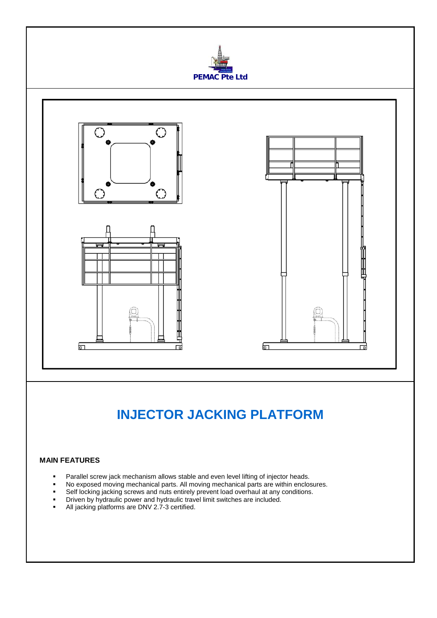

## **INJECTOR JACKING PLATFORM**

## **MAIN FEATURES**

- **Parallel screw jack mechanism allows stable and even level lifting of injector heads.**
- No exposed moving mechanical parts. All moving mechanical parts are within enclosures.
- Self locking jacking screws and nuts entirely prevent load overhaul at any conditions.
- Driven by hydraulic power and hydraulic travel limit switches are included.
- All jacking platforms are DNV 2.7-3 certified.